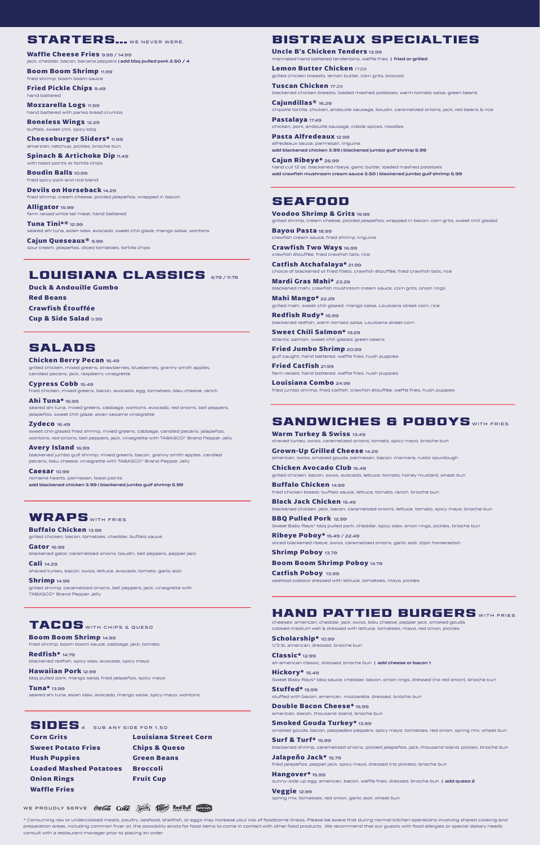### STARTERS... WE NEVER WERE.

\* Consuming raw or undercooked meats, poultry, seafood, shellfish, or eggs may increase your risk of foodborne illness. Please be aware that during normal kitchen operations involving shared cooking and preparation areas, including common fryer oil, the possibility exists for food items to come in contact with other food products. We recommend that our guests with food allergies or special dietary needs consult with a restaurant manager prior to placing an order.

**Corn Grits Louisiana Street Corn Sweet Potato Fries Chips & Queso Hush Puppies Green Beans Loaded Mashed Potatoes Broccoli Onion Rings Fruit Cup Waffle Fries**

### SEAFOOD

**Voodoo Shrimp & Grits** 19.99 grilled shrimp, cream cheese, pickled jalapeños, wrapped in bacon, corn grits, sweet chili glazed

**Bayou Pasta** 18.99 crawfish cream sauce, fried shrimp, linguine

**Crawfish Two Ways** 16.99 crawfish étouffée, fried crawfish tails, rice

**Classic\*** 12.99 all-american classic, dressed, brioche bun | add cheese or bacon 1

**Catfish Atchafalaya\*** 21.99 choice of blackened or fried fillets, crawfish étouffée, fried crawfish tails, rice

**Mardi Gras Mahi\*** 23.29 blackened mahi, crawfish mushroom cream sauce, corn grits, onion rings

**Mahi Mango\*** 22.29 grilled mahi, sweet chili glazed, mango salsa, Louisiana street corn, rice

**Redfish Rudy\*** 16.99 blackened redfish, warm tomato salsa, Louisiana street corn

**Hangover\*** 15.99 sunny-side up egg, american, bacon, waffle fries, dressed, brioche bun | add queso 2

**Sweet Chili Salmon\*** 19.29 atlantic salmon, sweet chili glazed, green beans

**Fried Jumbo Shrimp** 20.99 gulf caught, hand battered, waffle fries, hush puppies

**Fried Catfish** 21.99 farm raised, hand battered, waffle fries, hush puppies

**Louisiana Combo** 24.99 fried jumbo shrimp, fried catfish, crawfish étouffée, waffle fries, hush puppies

# HAND PATTIED BURGERS WITH FRIES

cheeses: american, cheddar, jack, swiss, bleu cheese, pepper jack, smoked gouda cooked medium well & dressed with lettuce, tomatoes, mayo, red onion, pickles

**Uncle B's Chicken Tenders** 13.99 marinated hand battered tenderloins, waffle fries | fried or grilled

**Scholarship\*** 10.99 1/3 lb, american, dressed, brioche bun

**Hickory\*** 15.49 Sweet Baby Rays® bbq sauce, cheddar, bacon, onion rings, dressed (no red onion), brioche bun

**Stuffed\*** 15.99 stuffed with bacon, american, mozzarella, dressed, brioche bun

**Double Bacon Cheese\*** 15.99 american, bacon, thousand island, brioche bun

**Smoked Gouda Turkey\*** 13.99 smoked gouda, bacon, peppadew peppers, spicy mayo, tomatoes, red onion, spring mix, wheat bun

**Surf & Turf\*** 15.99 blackened shrimp, caramelized onions, pickled jalapeños, jack, thousand island, pickles, brioche bun

**Jalapeño Jack\*** 15.79 fried jalapeños, pepper jack, spicy mayo, dressed (no pickles), brioche bun

**Veggie** 12.99 spring mix, tomatoes, red onion, garlic aioli, wheat bun

WE PROUDLY SERVE COLLEGE COKE Sprite (Porter Red Bull Commit

## SANDWICHES & POBOYS WITH FRIES

sweet chili glazed fried shrimp, mixed greens, cabbage, candied pecans, jalapeños, wontons, red onions, bell peppers, jack, vinaigrette with TABASCO® Brand Pepper Jelly

**Warm Turkey & Swiss** 13.49 shaved turkey, swiss, caramelized onions, tomato, spicy mayo, brioche bun

**Grown-Up Grilled Cheese** 14.29 american, swiss, smoked gouda, parmesan, bacon, marinara, rustic sourdough

**Red Beans Crawfish Étouffée Cup & Side Salad** 9.99

> **Chicken Avocado Club** 15.49 grilled chicken, bacon, swiss, avocado, lettuce, tomato, honey mustard, wheat bun

**Waffle Cheese Fries** 9.99 / 14.99 jack, cheddar, bacon, banana peppers | add bbq pulled pork 2.50 / 4

> **Buffalo Chicken** 14.99 fried chicken breast, buffalo sauce, lettuce, tomato, ranch, brioche bun

**Black Jack Chicken** 15.49 blackened chicken, jack, bacon, caramelized onions, lettuce, tomato, spicy mayo, brioche bun

**BBQ Pulled Pork** 12.99 Sweet Baby Rays® bbq pulled pork, cheddar, spicy slaw, onion rings, pickles, brioche bun

**Ribeye Poboy\*** 15.49 / 22.49 sliced blackened ribeye, swiss, caramelized onions, garlic aioli, dijon horseradish

**Shrimp Poboy** 13.79

**Boom Boom Shrimp Poboy** 14.79

**Catfish Poboy** 13.99 seafood poboys dressed with lettuce, tomatoes, mayo, pickles

# BISTREAUX SPECIALTIES

**Lemon Butter Chicken** 17.29 grilled chicken breasts, lemon butter, corn grits, broccoli

**Tuscan Chicken** 17.29 blackened chicken breasts, loaded mashed potatoes, warm tomato salsa, green beans

**Cajundillas®** 16.29 chipotle tortilla, chicken, andouille sausage, boudin, caramelized onions, jack, red beans & rice

**Pastalaya** 17.49 chicken, pork, andouille sausage, creole spices, noodles

**Pasta Alfredeaux** 12.99 alfredeaux sauce, parmesan, linguine add blackened chicken 3.99 | blackened jumbo gulf shrimp 5.99

**Cajun Ribeye\*** 26.99 hand cut 12 oz. blackened ribeye, garlic butter, loaded mashed potatoes add crawfish mushroom cream sauce 3.50 | blackened jumbo gulf shrimp 5.99

### TACOS WITH CHIPS & QUESO

**Boom Boom Shrimp** 14.99 fried shrimp, boom boom sauce, cabbage, jack, tomato

**Redfish\*** 14.79 blackened redfish, spicy slaw, avocado, spicy mayo

**Hawaiian Pork** 12.99 bbq pulled pork, mango salsa, fried jalapeños, spicy mayo

**Tuna\*** 13.99 seared ahi tuna, asian slaw, avocado, mango salsa, spicy mayo, wontons

# SIDES<sup>4</sup> SUB ANY SIDE FOR 1.50

**Buffalo Chicken** 13.99 grilled chicken, bacon, tomatoes, cheddar, buffalo sauce

**Gator** 16.99 blackened gator, caramelized onions, boudin, bell peppers, pepper jack

**Cali** 14.29 shaved turkey, bacon, swiss, lettuce, avocado, tomato, garlic aioli

**Shrimp** 14.99

## SALADS

**Chicken Berry Pecan** 16.49 grilled chicken, mixed greens, strawberries, blueberries, granny smith apples, candied pecans, jack, raspberry vinaigrette

**Cypress Cobb** 15.49

fried chicken, mixed greens, bacon, avocado, egg, tomatoes, bleu cheese, ranch

**Ahi Tuna\*** 16.99 seared ahi tuna, mixed greens, cabbage, wontons, avocado, red onions, bell peppers, jalapeños, sweet chili glaze, asian sesame vinaigrette

**Zydeco** 16.49

**Avery Island** 16.99

blackened jumbo gulf shrimp, mixed greens, bacon, granny smith apples, candied pecans, bleu cheese, vinaigrette with TABASCO® Brand Pepper Jelly

**Caesar** 10.99 romaine hearts, parmesan, toast points add blackened chicken 3.99 | blackened jumbo gulf shrimp 5.99

### WRAPS WITH FRIES

**Duck & Andouille Gumbo**

**Boom Boom Shrimp** 11.99 fried shrimp, boom boom sauce

**Fried Pickle Chips** 9.49 hand battered

**Mozzarella Logs** 11.99 hand battered with panko bread crumbs

**Boneless Wings** 12.29 buffalo, sweet chili, spicy bbq

**Cheeseburger Sliders\*** 11.99 american, ketchup, pickles, brioche bun

**Spinach & Artichoke Dip 11.49** with toast points or tortilla chips

**Boudin Balls** 10.99 fried spicy pork and rice blend

**Devils on Horseback** 14.29 fried shrimp, cream cheese, pickled jalapeños, wrapped in bacon

**Alligator** 15.99 farm raised white tail meat, hand battered

**Tuna Tini\*®** 12.99 seared ahi tuna, asian slaw, avocado, sweet chili glaze, mango salsa, wontons

**Cajun Queseaux®** 9.99 sour cream, jalapeños, diced tomatoes, tortilla chips

## LOUISIANA CLASSICS 679/1179